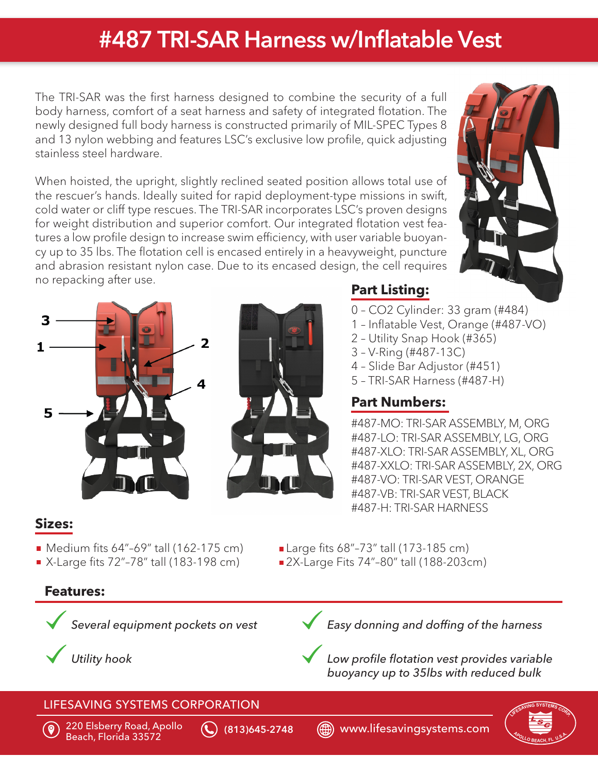# #487 TRI-SAR Harness w/Inflatable Vest

The TRI-SAR was the first harness designed to combine the security of a full body harness, comfort of a seat harness and safety of integrated flotation. The newly designed full body harness is constructed primarily of MIL-SPEC Types 8 and 13 nylon webbing and features LSC's exclusive low profile, quick adjusting stainless steel hardware.

When hoisted, the upright, slightly reclined seated position allows total use of the rescuer's hands. Ideally suited for rapid deployment-type missions in swift, cold water or cliff type rescues. The TRI-SAR incorporates LSC's proven designs for weight distribution and superior comfort. Our integrated flotation vest features a low profile design to increase swim efficiency, with user variable buoyancy up to 35 lbs. The flotation cell is encased entirely in a heavyweight, puncture and abrasion resistant nylon case. Due to its encased design, the cell requires no repacking after use.





# **Part Listing:**

- 0 CO2 Cylinder: 33 gram (#484)
- 1 Inflatable Vest, Orange (#487-VO)
- 2 Utility Snap Hook (#365)
- 3 V-Ring (#487-13C)
- 4 Slide Bar Adjustor (#451)
- 5 TRI-SAR Harness (#487-H)

# **Part Numbers:**

#487-MO: TRI-SAR ASSEMBLY, M, ORG #487-LO: TRI-SAR ASSEMBLY, LG, ORG #487-XLO: TRI-SAR ASSEMBLY, XL, ORG #487-XXLO: TRI-SAR ASSEMBLY, 2X, ORG #487-VO: TRI-SAR VEST, ORANGE #487-VB: TRI-SAR VEST, BLACK #487-H: TRI-SAR HARNESS

### **Sizes:**

- 
- Medium fits 64"-69" tall (162-175 cm) <br>■ X-Large fits 72"-78" tall (183-198 cm) 2X-Large Fits 74"-80" tall (188-203c

# **Features:**



*Several equipment pockets on vest*

*Utility hook*



*Easy donning and doffing of the harness*

*Low profile flotation vest provides variable buoyancy up to 35lbs with reduced bulk*

#### LIFESAVING SYSTEMS CORPORATION



220 Elsberry Road, Apollo Beach, Florida 33572 (813)645-2748 www.lifesavingsystems.com